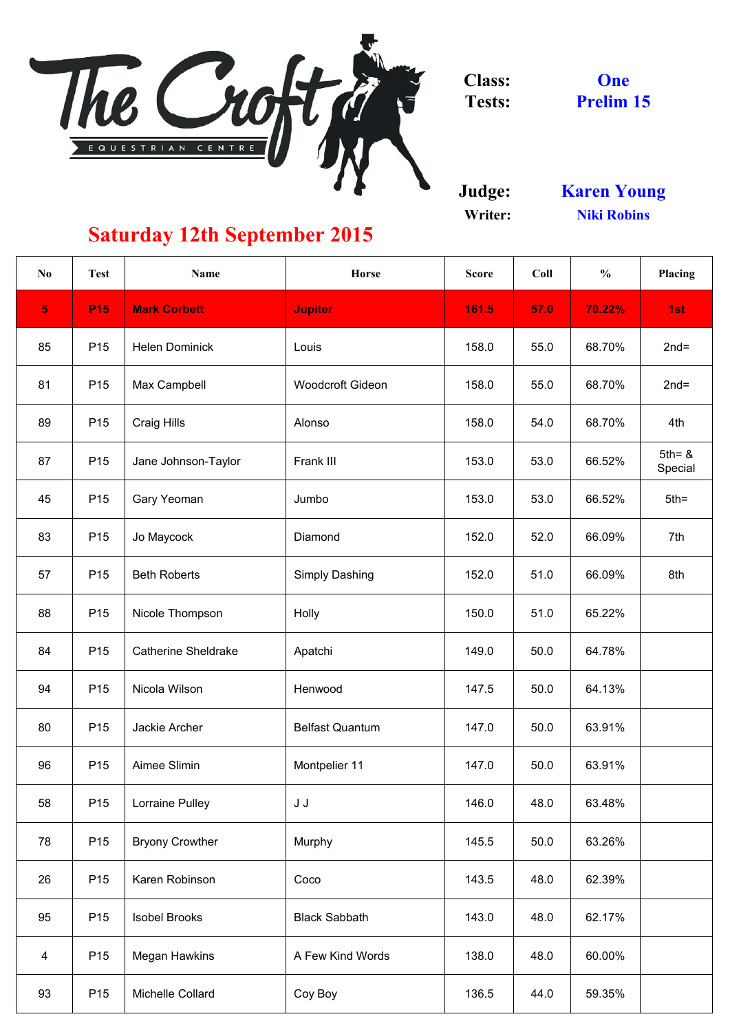

**Judge: Writer:**

| N <sub>0</sub> | <b>Test</b>     | <b>Name</b>                | <b>Horse</b>            | <b>Score</b> | Coll | $\frac{0}{0}$ | <b>Placing</b>       |
|----------------|-----------------|----------------------------|-------------------------|--------------|------|---------------|----------------------|
| 5 <sup>1</sup> | <b>P15</b>      | <b>Mark Corbett</b>        | <b>Jupiter</b>          | 161.5        | 57.0 | 70.22%        | 1st                  |
| 85             | P <sub>15</sub> | <b>Helen Dominick</b>      | Louis                   | 158.0        | 55.0 | 68.70%        | $2nd=$               |
| 81             | P <sub>15</sub> | Max Campbell               | <b>Woodcroft Gideon</b> | 158.0        | 55.0 | 68.70%        | $2nd=$               |
| 89             | P <sub>15</sub> | <b>Craig Hills</b>         | Alonso                  | 158.0        | 54.0 | 68.70%        | 4th                  |
| 87             | P <sub>15</sub> | Jane Johnson-Taylor        | Frank III               | 153.0        | 53.0 | 66.52%        | $5th = 8$<br>Special |
| 45             | P <sub>15</sub> | <b>Gary Yeoman</b>         | Jumbo                   | 153.0        | 53.0 | 66.52%        | $5th =$              |
| 83             | P <sub>15</sub> | Jo Maycock                 | Diamond                 | 152.0        | 52.0 | 66.09%        | 7th                  |
| 57             | P <sub>15</sub> | <b>Beth Roberts</b>        | <b>Simply Dashing</b>   | 152.0        | 51.0 | 66.09%        | 8th                  |
| 88             | P <sub>15</sub> | Nicole Thompson            | Holly                   | 150.0        | 51.0 | 65.22%        |                      |
| 84             | P <sub>15</sub> | <b>Catherine Sheldrake</b> | Apatchi                 | 149.0        | 50.0 | 64.78%        |                      |
| 94             | P <sub>15</sub> | Nicola Wilson              | Henwood                 | 147.5        | 50.0 | 64.13%        |                      |
| 80             | P <sub>15</sub> | Jackie Archer              | <b>Belfast Quantum</b>  | 147.0        | 50.0 | 63.91%        |                      |
| 96             | P <sub>15</sub> | Aimee Slimin               | Montpelier 11           | 147.0        | 50.0 | 63.91%        |                      |
| 58             | P <sub>15</sub> | <b>Lorraine Pulley</b>     | J J                     | 146.0        | 48.0 | 63.48%        |                      |
| 78             | P <sub>15</sub> | <b>Bryony Crowther</b>     | <b>Murphy</b>           | 145.5        | 50.0 | 63.26%        |                      |
| 26             | P <sub>15</sub> | Karen Robinson             | Coco                    | 143.5        | 48.0 | 62.39%        |                      |
| 95             | P <sub>15</sub> | <b>Isobel Brooks</b>       | <b>Black Sabbath</b>    | 143.0        | 48.0 | 62.17%        |                      |
| $\overline{4}$ | P <sub>15</sub> | <b>Megan Hawkins</b>       | A Few Kind Words        | 138.0        | 48.0 | 60.00%        |                      |
| 93             | P <sub>15</sub> | Michelle Collard           | Coy Boy                 | 136.5        | 44.0 | 59.35%        |                      |

## **Saturday 12th September 2015**

**Prelim 15 One**

**Niki Robins Karen Young**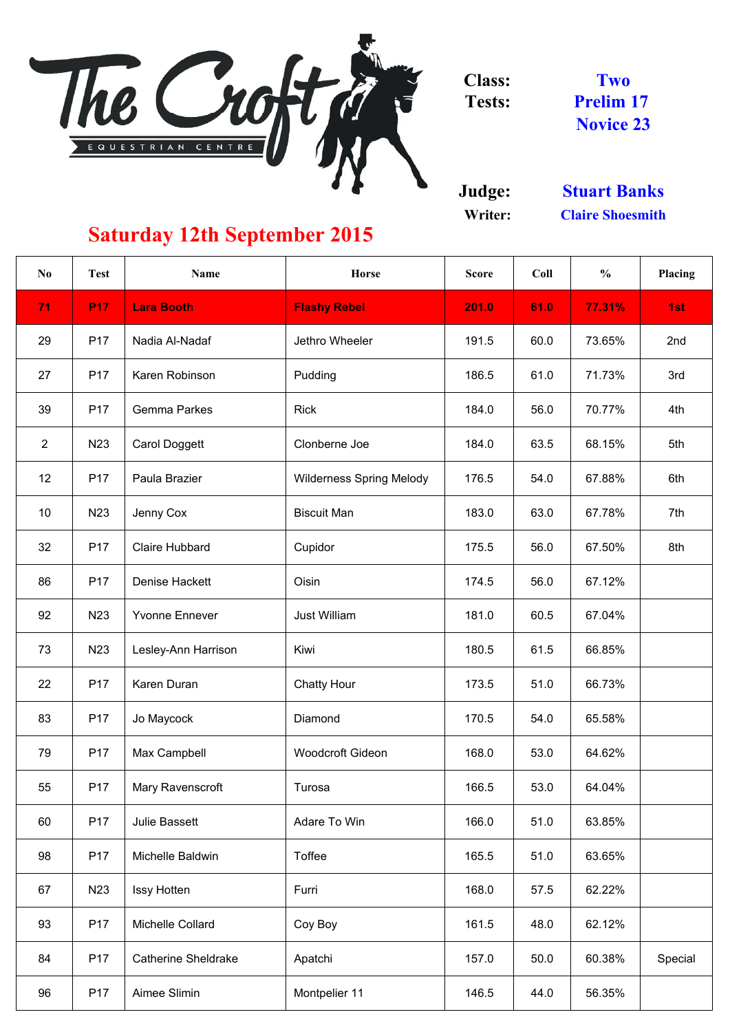

**Judge: Writer:**

| $\bf No$       | <b>Test</b>      | <b>Name</b>                | <b>Horse</b>                    | <b>Score</b> | Coll | $\frac{0}{0}$ | <b>Placing</b> |
|----------------|------------------|----------------------------|---------------------------------|--------------|------|---------------|----------------|
| 71             | <b>P17</b>       | <b>Lara Booth</b>          | <b>Flashy Rebel</b>             | 201.0        | 61.0 | 77.31%        | 1st            |
| 29             | P <sub>17</sub>  | Nadia Al-Nadaf             | Jethro Wheeler                  | 191.5        | 60.0 | 73.65%        | 2nd            |
| 27             | P <sub>17</sub>  | Karen Robinson             | Pudding                         | 186.5        | 61.0 | 71.73%        | 3rd            |
| 39             | P <sub>17</sub>  | <b>Gemma Parkes</b>        | <b>Rick</b>                     | 184.0        | 56.0 | 70.77%        | 4th            |
| $\overline{2}$ | N <sub>2</sub> 3 | <b>Carol Doggett</b>       | Clonberne Joe                   | 184.0        | 63.5 | 68.15%        | 5th            |
| 12             | P <sub>17</sub>  | Paula Brazier              | <b>Wilderness Spring Melody</b> | 176.5        | 54.0 | 67.88%        | 6th            |
| 10             | N <sub>23</sub>  | Jenny Cox                  | <b>Biscuit Man</b>              | 183.0        | 63.0 | 67.78%        | 7th            |
| 32             | P <sub>17</sub>  | <b>Claire Hubbard</b>      | Cupidor                         | 175.5        | 56.0 | 67.50%        | 8th            |
| 86             | P <sub>17</sub>  | Denise Hackett             | Oisin                           | 174.5        | 56.0 | 67.12%        |                |
| 92             | N <sub>23</sub>  | <b>Yvonne Ennever</b>      | <b>Just William</b>             | 181.0        | 60.5 | 67.04%        |                |
| 73             | N23              | Lesley-Ann Harrison        | Kiwi                            | 180.5        | 61.5 | 66.85%        |                |
| 22             | P <sub>17</sub>  | <b>Karen Duran</b>         | <b>Chatty Hour</b>              | 173.5        | 51.0 | 66.73%        |                |
| 83             | P <sub>17</sub>  | Jo Maycock                 | Diamond                         | 170.5        | 54.0 | 65.58%        |                |
| 79             | P <sub>17</sub>  | Max Campbell               | <b>Woodcroft Gideon</b>         | 168.0        | 53.0 | 64.62%        |                |
| 55             | P <sub>17</sub>  | Mary Ravenscroft           | Turosa                          | 166.5        | 53.0 | 64.04%        |                |
| 60             | P <sub>17</sub>  | <b>Julie Bassett</b>       | Adare To Win                    | 166.0        | 51.0 | 63.85%        |                |
| 98             | P <sub>17</sub>  | Michelle Baldwin           | <b>Toffee</b>                   | 165.5        | 51.0 | 63.65%        |                |
| 67             | N <sub>2</sub> 3 | <b>Issy Hotten</b>         | Furri                           | 168.0        | 57.5 | 62.22%        |                |
| 93             | P <sub>17</sub>  | Michelle Collard           | Coy Boy                         | 161.5        | 48.0 | 62.12%        |                |
| 84             | P <sub>17</sub>  | <b>Catherine Sheldrake</b> | Apatchi                         | 157.0        | 50.0 | 60.38%        | Special        |
| 96             | P <sub>17</sub>  | Aimee Slimin               | Montpelier 11                   | 146.5        | 44.0 | 56.35%        |                |

**Claire Shoesmith Stuart Banks**

**Two Prelim 17 Novice 23**

## **Saturday 12th September 2015**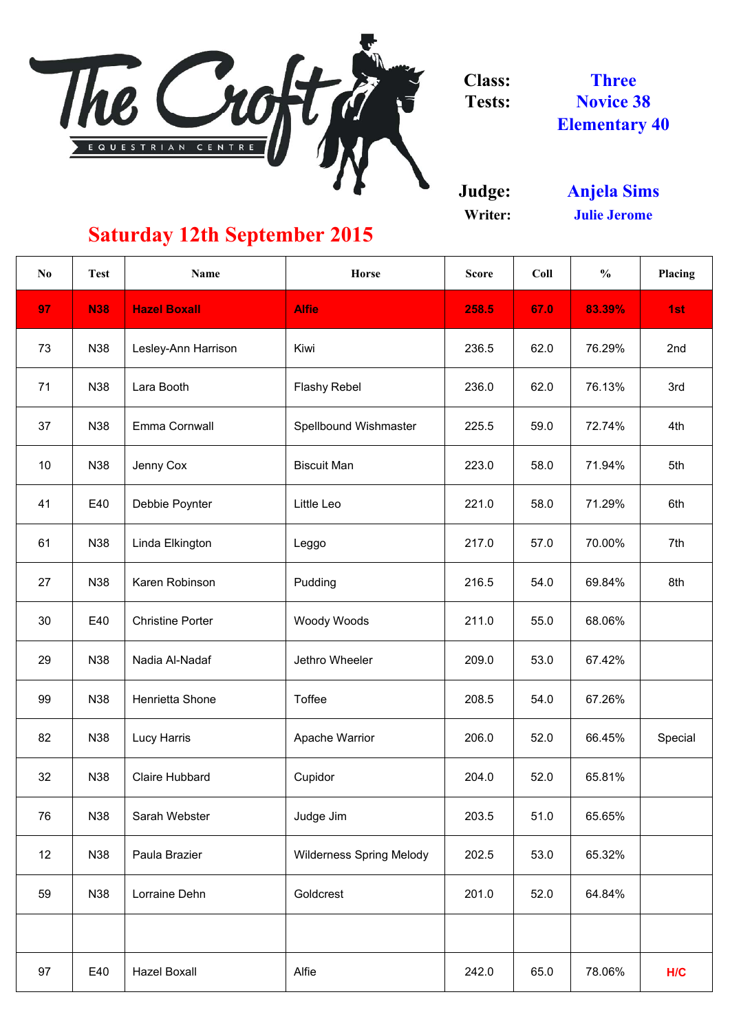

**Judge: Writer:**

| N <sub>0</sub>  | <b>Test</b> | <b>Name</b>             | <b>Horse</b>                    | <b>Score</b> | Coll | $\frac{0}{0}$ | Placing |
|-----------------|-------------|-------------------------|---------------------------------|--------------|------|---------------|---------|
| 97              | <b>N38</b>  | <b>Hazel Boxall</b>     | <b>Alfie</b>                    | 258.5        | 67.0 | 83.39%        | 1st     |
| 73              | N38         | Lesley-Ann Harrison     | Kiwi                            | 236.5        | 62.0 | 76.29%        | 2nd     |
| 71              | N38         | Lara Booth              | <b>Flashy Rebel</b>             | 236.0        | 62.0 | 76.13%        | 3rd     |
| 37              | N38         | Emma Cornwall           | <b>Spellbound Wishmaster</b>    | 225.5        | 59.0 | 72.74%        | 4th     |
| 10 <sup>°</sup> | N38         | Jenny Cox               | <b>Biscuit Man</b>              | 223.0        | 58.0 | 71.94%        | 5th     |
| 41              | E40         | Debbie Poynter          | Little Leo                      | 221.0        | 58.0 | 71.29%        | 6th     |
| 61              | N38         | Linda Elkington         | Leggo                           | 217.0        | 57.0 | 70.00%        | 7th     |
| 27              | N38         | Karen Robinson          | Pudding                         | 216.5        | 54.0 | 69.84%        | 8th     |
| 30              | E40         | <b>Christine Porter</b> | <b>Woody Woods</b>              | 211.0        | 55.0 | 68.06%        |         |
| 29              | N38         | Nadia Al-Nadaf          | Jethro Wheeler                  | 209.0        | 53.0 | 67.42%        |         |
| 99              | N38         | Henrietta Shone         | Toffee                          | 208.5        | 54.0 | 67.26%        |         |
| 82              | N38         | Lucy Harris             | <b>Apache Warrior</b>           | 206.0        | 52.0 | 66.45%        | Special |
| 32              | N38         | <b>Claire Hubbard</b>   | Cupidor                         | 204.0        | 52.0 | 65.81%        |         |
| 76              | N38         | Sarah Webster           | Judge Jim                       | 203.5        | 51.0 | 65.65%        |         |
| 12              | N38         | Paula Brazier           | <b>Wilderness Spring Melody</b> | 202.5        | 53.0 | 65.32%        |         |
| 59              | N38         | Lorraine Dehn           | Goldcrest                       | 201.0        | 52.0 | 64.84%        |         |
|                 |             |                         |                                 |              |      |               |         |
| 97              | E40         | <b>Hazel Boxall</b>     | Alfie                           | 242.0        | 65.0 | 78.06%        | H/C     |

**Three Novice 38 Elementary 40**

## **Saturday 12th September 2015**

**Julie Jerome Anjela Sims**